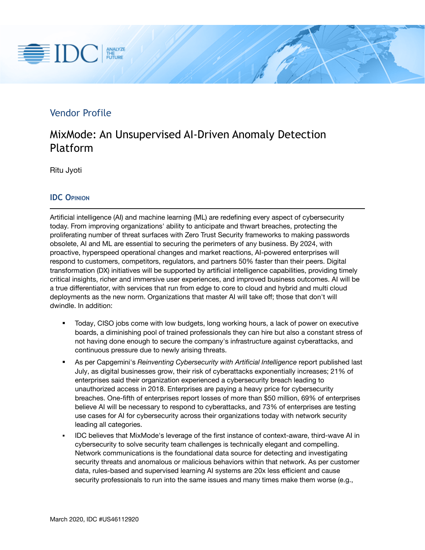# 量IDC ANALYZE<br>THE<br>FUTURE

# Vendor Profile

# MixMode: An Unsupervised AI-Driven Anomaly Detection Platform

Ritu Jyoti

## **IDC OPINION**

Artificial intelligence (AI) and machine learning (ML) are redefining every aspect of cybersecurity today. From improving organizations' ability to anticipate and thwart breaches, protecting the proliferating number of threat surfaces with Zero Trust Security frameworks to making passwords obsolete, AI and ML are essential to securing the perimeters of any business. By 2024, with proactive, hyperspeed operational changes and market reactions, AI-powered enterprises will respond to customers, competitors, regulators, and partners 50% faster than their peers. Digital transformation (DX) initiatives will be supported by artificial intelligence capabilities, providing timely critical insights, richer and immersive user experiences, and improved business outcomes. AI will be a true differentiator, with services that run from edge to core to cloud and hybrid and multi cloud deployments as the new norm. Organizations that master AI will take off; those that don't will dwindle. In addition:

- Today, CISO jobs come with low budgets, long working hours, a lack of power on executive boards, a diminishing pool of trained professionals they can hire but also a constant stress of not having done enough to secure the company's infrastructure against cyberattacks, and continuous pressure due to newly arising threats.
- As per Capgemini's *Reinventing Cybersecurity with Artificial Intelligence* report published last July, as digital businesses grow, their risk of cyberattacks exponentially increases; 21% of enterprises said their organization experienced a cybersecurity breach leading to unauthorized access in 2018. Enterprises are paying a heavy price for cybersecurity breaches. One-fifth of enterprises report losses of more than \$50 million, 69% of enterprises believe AI will be necessary to respond to cyberattacks, and 73% of enterprises are testing use cases for AI for cybersecurity across their organizations today with network security leading all categories.
- IDC believes that MixMode's leverage of the first instance of context-aware, third-wave AI in cybersecurity to solve security team challenges is technically elegant and compelling. Network communications is the foundational data source for detecting and investigating security threats and anomalous or malicious behaviors within that network. As per customer data, rules-based and supervised learning AI systems are 20x less efficient and cause security professionals to run into the same issues and many times make them worse (e.g.,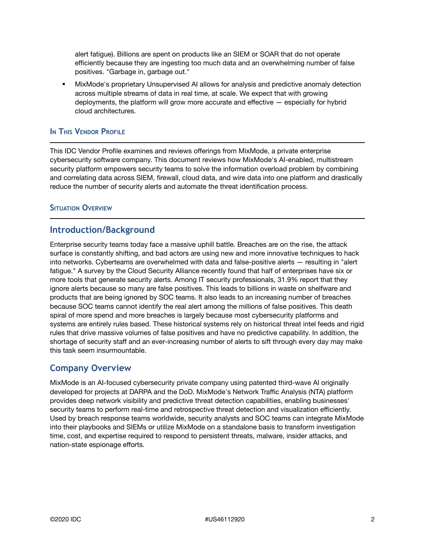alert fatigue). Billions are spent on products like an SIEM or SOAR that do not operate efficiently because they are ingesting too much data and an overwhelming number of false positives. "Garbage in, garbage out."

MixMode's proprietary Unsupervised AI allows for analysis and predictive anomaly detection across multiple streams of data in real time, at scale. We expect that with growing deployments, the platform will grow more accurate and effective — especially for hybrid cloud architectures.

#### **IN THIS VENDOR PROFILE**

This IDC Vendor Profile examines and reviews offerings from MixMode, a private enterprise cybersecurity software company. This document reviews how MixMode's AI-enabled, multistream security platform empowers security teams to solve the information overload problem by combining and correlating data across SIEM, firewall, cloud data, and wire data into one platform and drastically reduce the number of security alerts and automate the threat identification process.

#### **SITUATION OVERVIEW**

## **Introduction/Background**

Enterprise security teams today face a massive uphill battle. Breaches are on the rise, the attack surface is constantly shifting, and bad actors are using new and more innovative techniques to hack into networks. Cyberteams are overwhelmed with data and false-positive alerts — resulting in "alert fatigue." A survey by the Cloud Security Alliance recently found that half of enterprises have six or more tools that generate security alerts. Among IT security professionals, 31.9% report that they ignore alerts because so many are false positives. This leads to billions in waste on shelfware and products that are being ignored by SOC teams. It also leads to an increasing number of breaches because SOC teams cannot identify the real alert among the millions of false positives. This death spiral of more spend and more breaches is largely because most cybersecurity platforms and systems are entirely rules based. These historical systems rely on historical threat intel feeds and rigid rules that drive massive volumes of false positives and have no predictive capability. In addition, the shortage of security staff and an ever-increasing number of alerts to sift through every day may make this task seem insurmountable.

## **Company Overview**

MixMode is an AI-focused cybersecurity private company using patented third-wave AI originally developed for projects at DARPA and the DoD. MixMode's Network Traffic Analysis (NTA) platform provides deep network visibility and predictive threat detection capabilities, enabling businesses' security teams to perform real-time and retrospective threat detection and visualization efficiently. Used by breach response teams worldwide, security analysts and SOC teams can integrate MixMode into their playbooks and SIEMs or utilize MixMode on a standalone basis to transform investigation time, cost, and expertise required to respond to persistent threats, malware, insider attacks, and nation-state espionage efforts.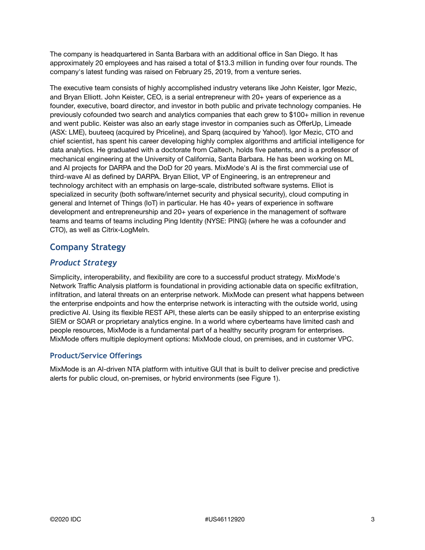The company is headquartered in Santa Barbara with an additional office in San Diego. It has approximately 20 employees and has raised a total of \$13.3 million in funding over four rounds. The company's latest funding was raised on February 25, 2019, from a venture series.

The executive team consists of highly accomplished industry veterans like John Keister, Igor Mezic, and Bryan Elliott. John Keister, CEO, is a serial entrepreneur with 20+ years of experience as a founder, executive, board director, and investor in both public and private technology companies. He previously cofounded two search and analytics companies that each grew to \$100+ million in revenue and went public. Keister was also an early stage investor in companies such as OfferUp, Limeade (ASX: LME), buuteeq (acquired by Priceline), and Sparq (acquired by Yahoo!). Igor Mezic, CTO and chief scientist, has spent his career developing highly complex algorithms and artificial intelligence for data analytics. He graduated with a doctorate from Caltech, holds five patents, and is a professor of mechanical engineering at the University of California, Santa Barbara. He has been working on ML and AI projects for DARPA and the DoD for 20 years. MixMode's AI is the first commercial use of third-wave AI as defined by DARPA. Bryan Elliot, VP of Engineering, is an entrepreneur and technology architect with an emphasis on large-scale, distributed software systems. Elliot is specialized in security (both software/internet security and physical security), cloud computing in general and Internet of Things (IoT) in particular. He has 40+ years of experience in software development and entrepreneurship and 20+ years of experience in the management of software teams and teams of teams including Ping Identity (NYSE: PING) (where he was a cofounder and CTO), as well as Citrix-LogMeIn.

# **Company Strategy**

# *Product Strategy*

Simplicity, interoperability, and flexibility are core to a successful product strategy. MixMode's Network Traffic Analysis platform is foundational in providing actionable data on specific exfiltration, infiltration, and lateral threats on an enterprise network. MixMode can present what happens between the enterprise endpoints and how the enterprise network is interacting with the outside world, using predictive AI. Using its flexible REST API, these alerts can be easily shipped to an enterprise existing SIEM or SOAR or proprietary analytics engine. In a world where cyberteams have limited cash and people resources, MixMode is a fundamental part of a healthy security program for enterprises. MixMode offers multiple deployment options: MixMode cloud, on premises, and in customer VPC.

## **Product/Service Offerings**

MixMode is an AI-driven NTA platform with intuitive GUI that is built to deliver precise and predictive alerts for public cloud, on-premises, or hybrid environments (see Figure 1).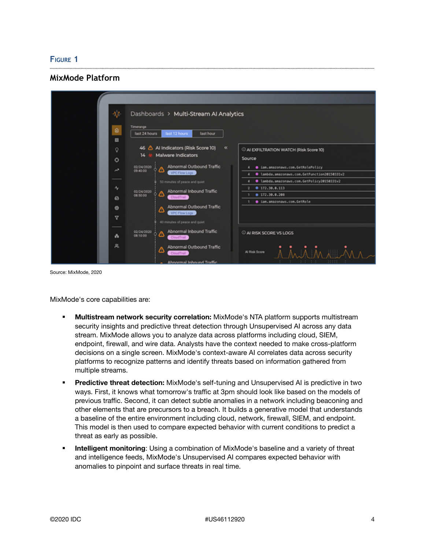#### **FIGURE 1**

## **MixMode Platform**



Source: MixMode, 2020

MixMode's core capabilities are:

- **Multistream network security correlation:** MixMode's NTA platform supports multistream security insights and predictive threat detection through Unsupervised AI across any data stream. MixMode allows you to analyze data across platforms including cloud, SIEM, endpoint, firewall, and wire data. Analysts have the context needed to make cross-platform decisions on a single screen. MixMode's context-aware AI correlates data across security platforms to recognize patterns and identify threats based on information gathered from multiple streams.
- **Predictive threat detection:** MixMode's self-tuning and Unsupervised AI is predictive in two ways. First, it knows what tomorrow's traffic at 3pm should look like based on the models of previous traffic. Second, it can detect subtle anomalies in a network including beaconing and other elements that are precursors to a breach. It builds a generative model that understands a baseline of the entire environment including cloud, network, firewall, SIEM, and endpoint. This model is then used to compare expected behavior with current conditions to predict a threat as early as possible.
- **EXED Intelligent monitoring:** Using a combination of MixMode's baseline and a variety of threat and intelligence feeds, MixMode's Unsupervised AI compares expected behavior with anomalies to pinpoint and surface threats in real time.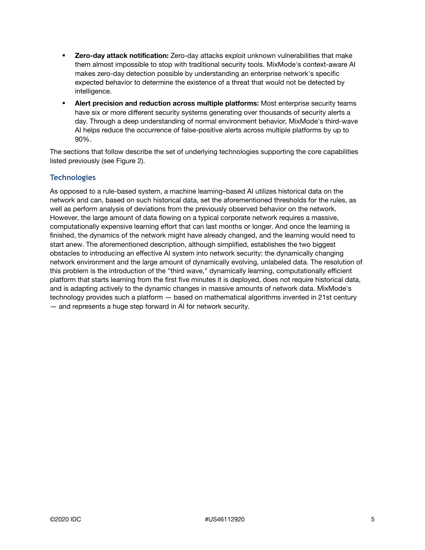- **Zero-day attack notification:** Zero-day attacks exploit unknown vulnerabilities that make them almost impossible to stop with traditional security tools. MixMode's context-aware AI makes zero-day detection possible by understanding an enterprise network's specific expected behavior to determine the existence of a threat that would not be detected by intelligence.
- **Alert precision and reduction across multiple platforms:** Most enterprise security teams have six or more different security systems generating over thousands of security alerts a day. Through a deep understanding of normal environment behavior, MixMode's third-wave AI helps reduce the occurrence of false-positive alerts across multiple platforms by up to 90%.

The sections that follow describe the set of underlying technologies supporting the core capabilities listed previously (see Figure 2).

## **Technologies**

As opposed to a rule-based system, a machine learning–based AI utilizes historical data on the network and can, based on such historical data, set the aforementioned thresholds for the rules, as well as perform analysis of deviations from the previously observed behavior on the network. However, the large amount of data flowing on a typical corporate network requires a massive, computationally expensive learning effort that can last months or longer. And once the learning is finished, the dynamics of the network might have already changed, and the learning would need to start anew. The aforementioned description, although simplified, establishes the two biggest obstacles to introducing an effective AI system into network security: the dynamically changing network environment and the large amount of dynamically evolving, unlabeled data. The resolution of this problem is the introduction of the "third wave," dynamically learning, computationally efficient platform that starts learning from the first five minutes it is deployed, does not require historical data, and is adapting actively to the dynamic changes in massive amounts of network data. MixMode's technology provides such a platform — based on mathematical algorithms invented in 21st century — and represents a huge step forward in AI for network security.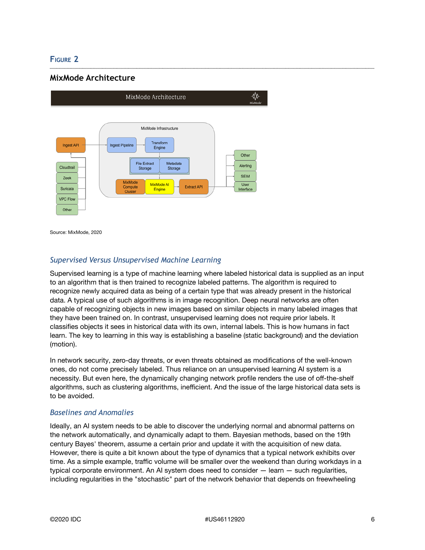## **FIGURE 2**

## **MixMode Architecture**



Source: MixMode, 2020

#### *Supervised Versus Unsupervised Machine Learning*

Supervised learning is a type of machine learning where labeled historical data is supplied as an input to an algorithm that is then trained to recognize labeled patterns. The algorithm is required to recognize newly acquired data as being of a certain type that was already present in the historical data. A typical use of such algorithms is in image recognition. Deep neural networks are often capable of recognizing objects in new images based on similar objects in many labeled images that they have been trained on. In contrast, unsupervised learning does not require prior labels. It classifies objects it sees in historical data with its own, internal labels. This is how humans in fact learn. The key to learning in this way is establishing a baseline (static background) and the deviation (motion).

In network security, zero-day threats, or even threats obtained as modifications of the well-known ones, do not come precisely labeled. Thus reliance on an unsupervised learning AI system is a necessity. But even here, the dynamically changing network profile renders the use of off-the-shelf algorithms, such as clustering algorithms, inefficient. And the issue of the large historical data sets is to be avoided.

#### *Baselines and Anomalies*

Ideally, an AI system needs to be able to discover the underlying normal and abnormal patterns on the network automatically, and dynamically adapt to them. Bayesian methods, based on the 19th century Bayes' theorem, assume a certain prior and update it with the acquisition of new data. However, there is quite a bit known about the type of dynamics that a typical network exhibits over time. As a simple example, traffic volume will be smaller over the weekend than during workdays in a typical corporate environment. An AI system does need to consider — learn — such regularities, including regularities in the "stochastic" part of the network behavior that depends on freewheeling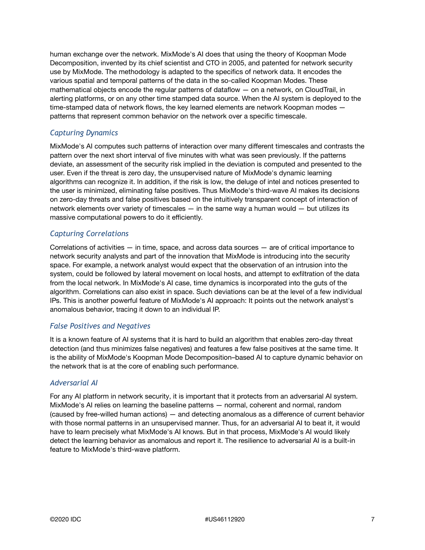human exchange over the network. MixMode's AI does that using the theory of Koopman Mode Decomposition, invented by its chief scientist and CTO in 2005, and patented for network security use by MixMode. The methodology is adapted to the specifics of network data. It encodes the various spatial and temporal patterns of the data in the so-called Koopman Modes. These mathematical objects encode the regular patterns of dataflow — on a network, on CloudTrail, in alerting platforms, or on any other time stamped data source. When the AI system is deployed to the time-stamped data of network flows, the key learned elements are network Koopman modes patterns that represent common behavior on the network over a specific timescale.

## *Capturing Dynamics*

MixMode's AI computes such patterns of interaction over many different timescales and contrasts the pattern over the next short interval of five minutes with what was seen previously. If the patterns deviate, an assessment of the security risk implied in the deviation is computed and presented to the user. Even if the threat is zero day, the unsupervised nature of MixMode's dynamic learning algorithms can recognize it. In addition, if the risk is low, the deluge of intel and notices presented to the user is minimized, eliminating false positives. Thus MixMode's third-wave AI makes its decisions on zero-day threats and false positives based on the intuitively transparent concept of interaction of network elements over variety of timescales — in the same way a human would — but utilizes its massive computational powers to do it efficiently.

## *Capturing Correlations*

Correlations of activities — in time, space, and across data sources — are of critical importance to network security analysts and part of the innovation that MixMode is introducing into the security space. For example, a network analyst would expect that the observation of an intrusion into the system, could be followed by lateral movement on local hosts, and attempt to exfiltration of the data from the local network. In MixMode's AI case, time dynamics is incorporated into the guts of the algorithm. Correlations can also exist in space. Such deviations can be at the level of a few individual IPs. This is another powerful feature of MixMode's AI approach: It points out the network analyst's anomalous behavior, tracing it down to an individual IP.

#### *False Positives and Negatives*

It is a known feature of AI systems that it is hard to build an algorithm that enables zero-day threat detection (and thus minimizes false negatives) and features a few false positives at the same time. It is the ability of MixMode's Koopman Mode Decomposition–based AI to capture dynamic behavior on the network that is at the core of enabling such performance.

#### *Adversarial AI*

For any AI platform in network security, it is important that it protects from an adversarial AI system. MixMode's AI relies on learning the baseline patterns — normal, coherent and normal, random (caused by free-willed human actions) — and detecting anomalous as a difference of current behavior with those normal patterns in an unsupervised manner. Thus, for an adversarial AI to beat it, it would have to learn precisely what MixMode's AI knows. But in that process, MixMode's AI would likely detect the learning behavior as anomalous and report it. The resilience to adversarial AI is a built-in feature to MixMode's third-wave platform.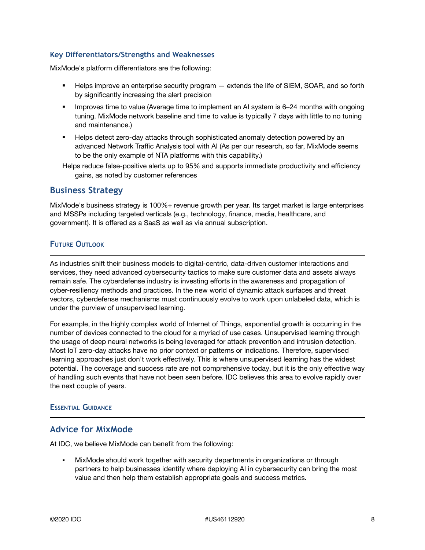#### **Key Differentiators/Strengths and Weaknesses**

MixMode's platform differentiators are the following:

- **EXECT** Helps improve an enterprise security program extends the life of SIEM, SOAR, and so forth by significantly increasing the alert precision
- **•** Improves time to value (Average time to implement an AI system is 6–24 months with ongoing tuning. MixMode network baseline and time to value is typically 7 days with little to no tuning and maintenance.)
- **EXECT Helps detect zero-day attacks through sophisticated anomaly detection powered by an** advanced Network Traffic Analysis tool with AI (As per our research, so far, MixMode seems to be the only example of NTA platforms with this capability.)
- Helps reduce false-positive alerts up to 95% and supports immediate productivity and efficiency gains, as noted by customer references

## **Business Strategy**

MixMode's business strategy is 100%+ revenue growth per year. Its target market is large enterprises and MSSPs including targeted verticals (e.g., technology, finance, media, healthcare, and government). It is offered as a SaaS as well as via annual subscription.

## **FUTURE OUTLOOK**

As industries shift their business models to digital-centric, data-driven customer interactions and services, they need advanced cybersecurity tactics to make sure customer data and assets always remain safe. The cyberdefense industry is investing efforts in the awareness and propagation of cyber-resiliency methods and practices. In the new world of dynamic attack surfaces and threat vectors, cyberdefense mechanisms must continuously evolve to work upon unlabeled data, which is under the purview of unsupervised learning.

For example, in the highly complex world of Internet of Things, exponential growth is occurring in the number of devices connected to the cloud for a myriad of use cases. Unsupervised learning through the usage of deep neural networks is being leveraged for attack prevention and intrusion detection. Most IoT zero-day attacks have no prior context or patterns or indications. Therefore, supervised learning approaches just don't work effectively. This is where unsupervised learning has the widest potential. The coverage and success rate are not comprehensive today, but it is the only effective way of handling such events that have not been seen before. IDC believes this area to evolve rapidly over the next couple of years.

#### **ESSENTIAL GUIDANCE**

# **Advice for MixMode**

At IDC, we believe MixMode can benefit from the following:

MixMode should work together with security departments in organizations or through partners to help businesses identify where deploying AI in cybersecurity can bring the most value and then help them establish appropriate goals and success metrics.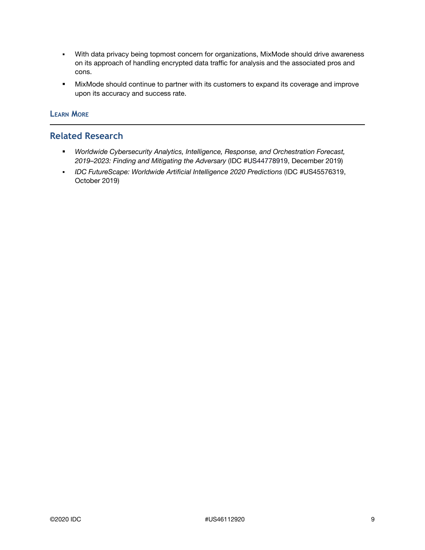- With data privacy being topmost concern for organizations, MixMode should drive awareness on its approach of handling encrypted data traffic for analysis and the associated pros and cons.
- **■** MixMode should continue to partner with its customers to expand its coverage and improve upon its accuracy and success rate.

## **LEARN MORE**

## **Related Research**

- *Worldwide Cybersecurity Analytics, Intelligence, Response, and Orchestration Forecast, 2019–2023: Finding and Mitigating the Adversary* (IDC #US44778919, December 2019)
- *IDC FutureScape: Worldwide Artificial Intelligence 2020 Predictions* (IDC #US45576319, October 2019)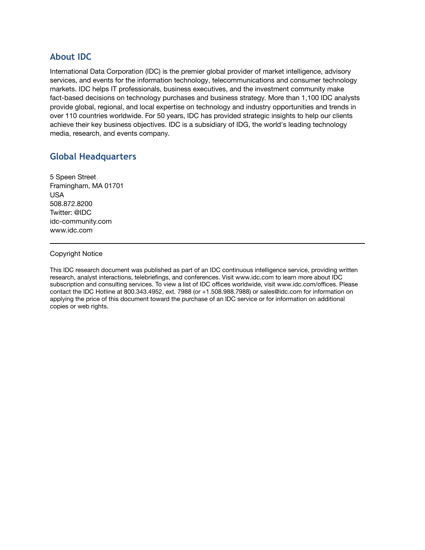# **About IDC**

International Data Corporation (IDC) is the premier global provider of market intelligence, advisory services, and events for the information technology, telecommunications and consumer technology markets. IDC helps IT professionals, business executives, and the investment community make fact-based decisions on technology purchases and business strategy. More than 1,100 IDC analysts provide global, regional, and local expertise on technology and industry opportunities and trends in over 110 countries worldwide. For 50 years, IDC has provided strategic insights to help our clients achieve their key business objectives. IDC is a subsidiary of IDG, the world's leading technology media, research, and events company.

# **Global Headquarters**

5 Speen Street Framingham, MA 01701 USA 508.872.8200 Twitter: @IDC idc-community.com www.idc.com

#### Copyright Notice

This IDC research document was published as part of an IDC continuous intelligence service, providing written research, analyst interactions, telebriefings, and conferences. Visit www.idc.com to learn more about IDC subscription and consulting services. To view a list of IDC offices worldwide, visit www.idc.com/offices. Please contact the IDC Hotline at 800.343.4952, ext. 7988 (or +1.508.988.7988) or sales@idc.com for information on applying the price of this document toward the purchase of an IDC service or for information on additional copies or web rights.